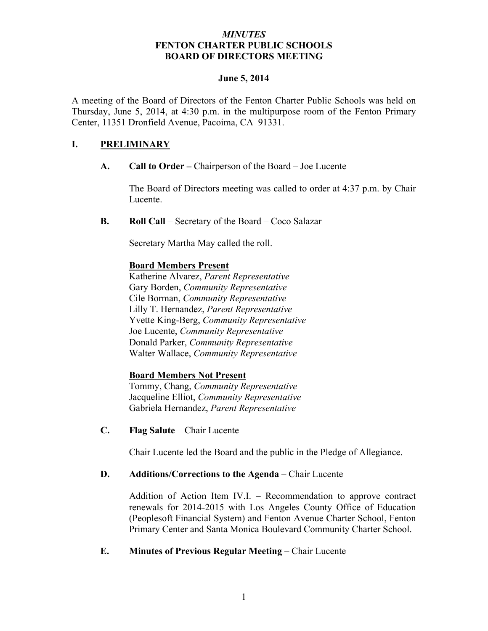## *MINUTES* **FENTON CHARTER PUBLIC SCHOOLS BOARD OF DIRECTORS MEETING**

#### **June 5, 2014**

A meeting of the Board of Directors of the Fenton Charter Public Schools was held on Thursday, June 5, 2014, at 4:30 p.m. in the multipurpose room of the Fenton Primary Center, 11351 Dronfield Avenue, Pacoima, CA 91331.

# **I. PRELIMINARY**

**A. Call to Order –** Chairperson of the Board – Joe Lucente

The Board of Directors meeting was called to order at 4:37 p.m. by Chair Lucente.

**B. Roll Call** – Secretary of the Board – Coco Salazar

Secretary Martha May called the roll.

## **Board Members Present**

Katherine Alvarez, *Parent Representative* Gary Borden, *Community Representative* Cile Borman, *Community Representative* Lilly T. Hernandez, *Parent Representative* Yvette King-Berg, *Community Representative* Joe Lucente, *Community Representative* Donald Parker, *Community Representative* Walter Wallace, *Community Representative*

# **Board Members Not Present**

Tommy, Chang, *Community Representative* Jacqueline Elliot, *Community Representative* Gabriela Hernandez, *Parent Representative*

**C. Flag Salute** – Chair Lucente

Chair Lucente led the Board and the public in the Pledge of Allegiance.

### **D. Additions/Corrections to the Agenda** – Chair Lucente

Addition of Action Item IV.I. – Recommendation to approve contract renewals for 2014-2015 with Los Angeles County Office of Education (Peoplesoft Financial System) and Fenton Avenue Charter School, Fenton Primary Center and Santa Monica Boulevard Community Charter School.

### **E. Minutes of Previous Regular Meeting – Chair Lucente**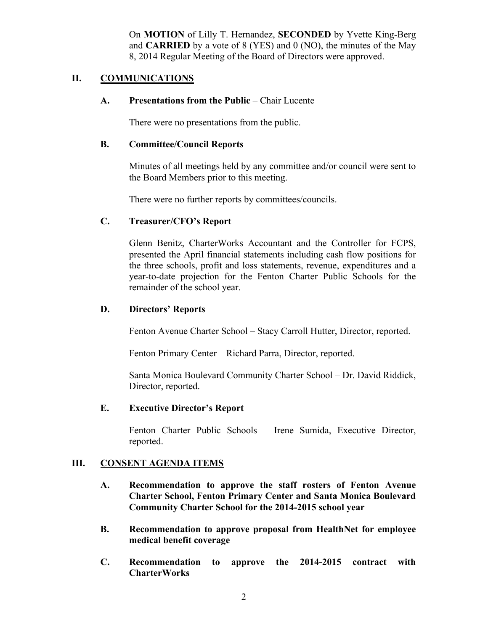On **MOTION** of Lilly T. Hernandez, **SECONDED** by Yvette King-Berg and **CARRIED** by a vote of 8 (YES) and 0 (NO), the minutes of the May 8, 2014 Regular Meeting of the Board of Directors were approved.

## **II. COMMUNICATIONS**

### **A. Presentations from the Public** – Chair Lucente

There were no presentations from the public.

#### **B. Committee/Council Reports**

Minutes of all meetings held by any committee and/or council were sent to the Board Members prior to this meeting.

There were no further reports by committees/councils.

### **C. Treasurer/CFO's Report**

Glenn Benitz, CharterWorks Accountant and the Controller for FCPS, presented the April financial statements including cash flow positions for the three schools, profit and loss statements, revenue, expenditures and a year-to-date projection for the Fenton Charter Public Schools for the remainder of the school year.

### **D. Directors' Reports**

Fenton Avenue Charter School – Stacy Carroll Hutter, Director, reported.

Fenton Primary Center – Richard Parra, Director, reported.

Santa Monica Boulevard Community Charter School – Dr. David Riddick, Director, reported.

## **E. Executive Director's Report**

Fenton Charter Public Schools – Irene Sumida, Executive Director, reported.

### **III. CONSENT AGENDA ITEMS**

- **A. Recommendation to approve the staff rosters of Fenton Avenue Charter School, Fenton Primary Center and Santa Monica Boulevard Community Charter School for the 2014-2015 school year**
- **B. Recommendation to approve proposal from HealthNet for employee medical benefit coverage**
- **C. Recommendation to approve the 2014-2015 contract with CharterWorks**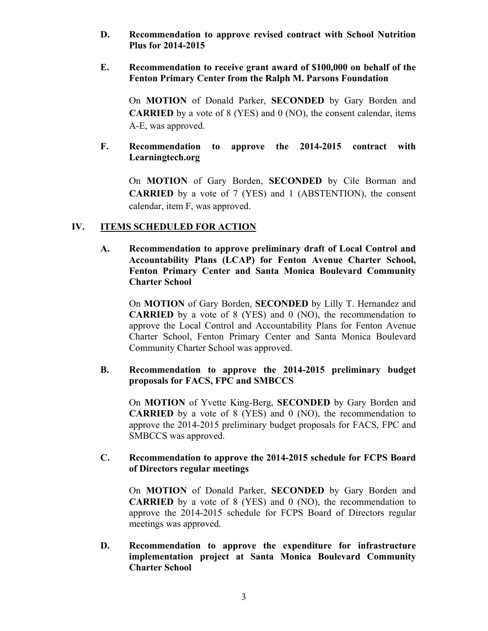**D. Recommendation to approve revised contract with School Nutrition Plus for 2014-2015**

### **E. Recommendation to receive grant award of \$100,000 on behalf of the Fenton Primary Center from the Ralph M. Parsons Foundation**

On **MOTION** of Donald Parker, **SECONDED** by Gary Borden and **CARRIED** by a vote of 8 (YES) and 0 (NO), the consent calendar, items A-E, was approved.

## **F. Recommendation to approve the 2014-2015 contract with Learningtech.org**

On **MOTION** of Gary Borden, **SECONDED** by Cile Borman and **CARRIED** by a vote of 7 (YES) and 1 (ABSTENTION), the consent calendar, item F, was approved.

# **IV. ITEMS SCHEDULED FOR ACTION**

**A. Recommendation to approve preliminary draft of Local Control and Accountability Plans (LCAP) for Fenton Avenue Charter School, Fenton Primary Center and Santa Monica Boulevard Community Charter School**

On **MOTION** of Gary Borden, **SECONDED** by Lilly T. Hernandez and **CARRIED** by a vote of 8 (YES) and 0 (NO), the recommendation to approve the Local Control and Accountability Plans for Fenton Avenue Charter School, Fenton Primary Center and Santa Monica Boulevard Community Charter School was approved.

## **B. Recommendation to approve the 2014-2015 preliminary budget proposals for FACS, FPC and SMBCCS**

On **MOTION** of Yvette King-Berg, **SECONDED** by Gary Borden and **CARRIED** by a vote of 8 (YES) and 0 (NO), the recommendation to approve the 2014-2015 preliminary budget proposals for FACS, FPC and SMBCCS was approved.

## **C. Recommendation to approve the 2014-2015 schedule for FCPS Board of Directors regular meetings**

On **MOTION** of Donald Parker, **SECONDED** by Gary Borden and **CARRIED** by a vote of 8 (YES) and 0 (NO), the recommendation to approve the 2014-2015 schedule for FCPS Board of Directors regular meetings was approved.

## **D. Recommendation to approve the expenditure for infrastructure implementation project at Santa Monica Boulevard Community Charter School**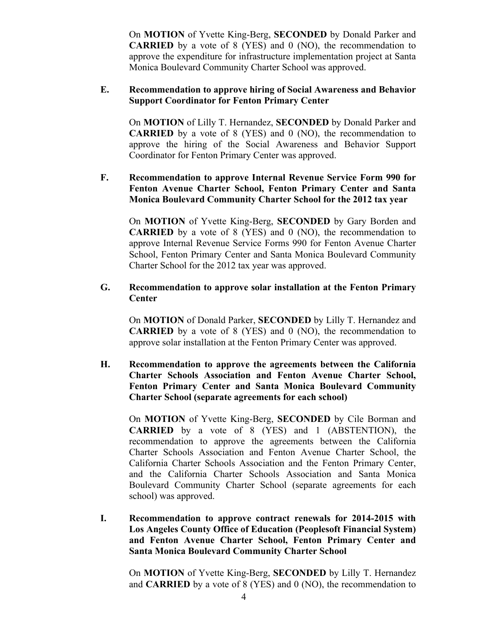On **MOTION** of Yvette King-Berg, **SECONDED** by Donald Parker and **CARRIED** by a vote of 8 (YES) and 0 (NO), the recommendation to approve the expenditure for infrastructure implementation project at Santa Monica Boulevard Community Charter School was approved.

### **E. Recommendation to approve hiring of Social Awareness and Behavior Support Coordinator for Fenton Primary Center**

On **MOTION** of Lilly T. Hernandez, **SECONDED** by Donald Parker and **CARRIED** by a vote of 8 (YES) and 0 (NO), the recommendation to approve the hiring of the Social Awareness and Behavior Support Coordinator for Fenton Primary Center was approved.

# **F. Recommendation to approve Internal Revenue Service Form 990 for Fenton Avenue Charter School, Fenton Primary Center and Santa Monica Boulevard Community Charter School for the 2012 tax year**

On **MOTION** of Yvette King-Berg, **SECONDED** by Gary Borden and **CARRIED** by a vote of 8 (YES) and 0 (NO), the recommendation to approve Internal Revenue Service Forms 990 for Fenton Avenue Charter School, Fenton Primary Center and Santa Monica Boulevard Community Charter School for the 2012 tax year was approved.

### **G. Recommendation to approve solar installation at the Fenton Primary Center**

On **MOTION** of Donald Parker, **SECONDED** by Lilly T. Hernandez and **CARRIED** by a vote of 8 (YES) and 0 (NO), the recommendation to approve solar installation at the Fenton Primary Center was approved.

# **H. Recommendation to approve the agreements between the California Charter Schools Association and Fenton Avenue Charter School, Fenton Primary Center and Santa Monica Boulevard Community Charter School (separate agreements for each school)**

On **MOTION** of Yvette King-Berg, **SECONDED** by Cile Borman and **CARRIED** by a vote of 8 (YES) and 1 (ABSTENTION), the recommendation to approve the agreements between the California Charter Schools Association and Fenton Avenue Charter School, the California Charter Schools Association and the Fenton Primary Center, and the California Charter Schools Association and Santa Monica Boulevard Community Charter School (separate agreements for each school) was approved.

**I. Recommendation to approve contract renewals for 2014-2015 with Los Angeles County Office of Education (Peoplesoft Financial System) and Fenton Avenue Charter School, Fenton Primary Center and Santa Monica Boulevard Community Charter School**

On **MOTION** of Yvette King-Berg, **SECONDED** by Lilly T. Hernandez and **CARRIED** by a vote of 8 (YES) and 0 (NO), the recommendation to